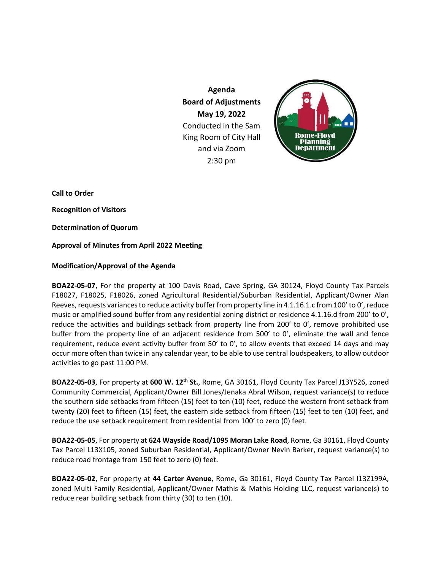**Agenda Board of Adjustments May 19, 2022** Conducted in the Sam King Room of City Hall and via Zoom 2:30 pm



**Call to Order Recognition of Visitors Determination of Quorum Approval of Minutes from April 2022 Meeting**

## **Modification/Approval of the Agenda**

**BOA22-05-07**, For the property at 100 Davis Road, Cave Spring, GA 30124, Floyd County Tax Parcels F18027, F18025, F18026, zoned Agricultural Residential/Suburban Residential, Applicant/Owner Alan Reeves, requests variances to reduce activity buffer from property line in 4.1.16.1.c from 100' to 0', reduce music or amplified sound buffer from any residential zoning district or residence 4.1.16.d from 200' to 0', reduce the activities and buildings setback from property line from 200' to 0', remove prohibited use buffer from the property line of an adjacent residence from 500' to 0', eliminate the wall and fence requirement, reduce event activity buffer from 50' to 0', to allow events that exceed 14 days and may occur more often than twice in any calendar year, to be able to use central loudspeakers, to allow outdoor activities to go past 11:00 PM.

**BOA22-05-03**, For property at **600 W. 12th St.**, Rome, GA 30161, Floyd County Tax Parcel J13Y526, zoned Community Commercial, Applicant/Owner Bill Jones/Jenaka Abral Wilson, request variance(s) to reduce the southern side setbacks from fifteen (15) feet to ten (10) feet, reduce the western front setback from twenty (20) feet to fifteen (15) feet, the eastern side setback from fifteen (15) feet to ten (10) feet, and reduce the use setback requirement from residential from 100' to zero (0) feet.

**BOA22-05-05**, For property at **624 Wayside Road/1095 Moran Lake Road**, Rome, Ga 30161, Floyd County Tax Parcel L13X105, zoned Suburban Residential, Applicant/Owner Nevin Barker, request variance(s) to reduce road frontage from 150 feet to zero (0) feet.

**BOA22-05-02**, For property at **44 Carter Avenue**, Rome, Ga 30161, Floyd County Tax Parcel I13Z199A, zoned Multi Family Residential, Applicant/Owner Mathis & Mathis Holding LLC, request variance(s) to reduce rear building setback from thirty (30) to ten (10).